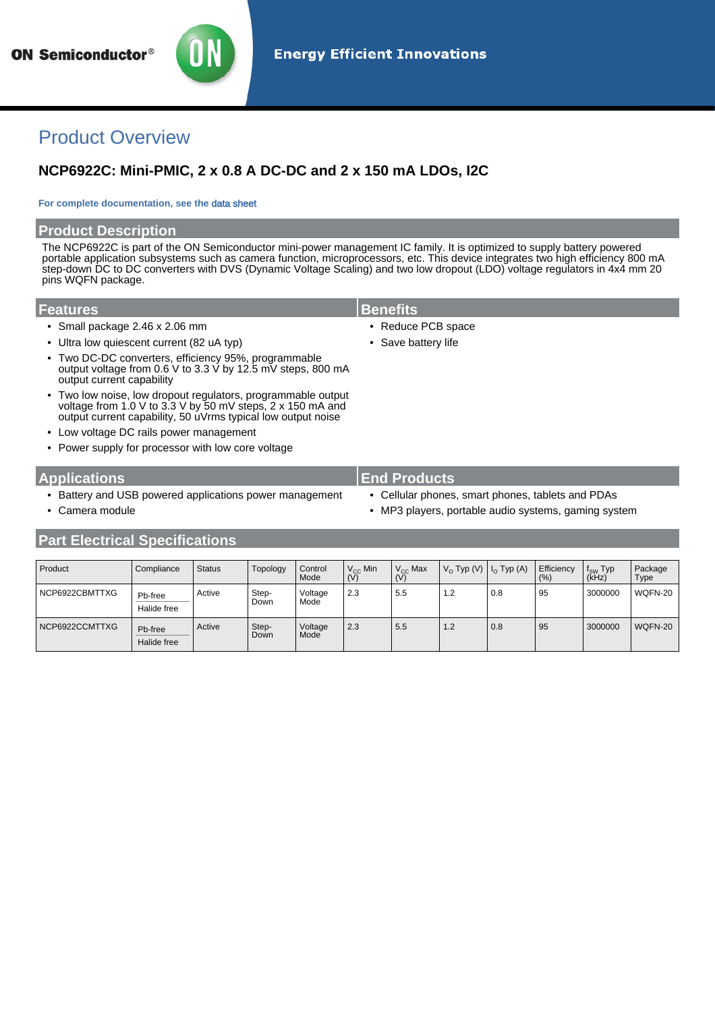

# Product Overview

## **NCP6922C: Mini-PMIC, 2 x 0.8 A DC-DC and 2 x 150 mA LDOs, I2C**

#### **For complete documentation, see the** [data sheet](http://www.onsemi.com/PowerSolutions/product.do?id=NCP6922C)

#### **Product Description**

The NCP6922C is part of the ON Semiconductor mini-power management IC family. It is optimized to supply battery powered portable application subsystems such as camera function, microprocessors, etc. This device integrates two high efficiency 800 mA step-down DC to DC converters with DVS (Dynamic Voltage Scaling) and two low dropout (LDO) voltage regulators in 4x4 mm 20 pins WQFN package.

#### **Features Benefits**

- Small package 2.46 x 2.06 mm  **Reduce PCB space**
- Ultra low quiescent current (82 uA typ) Save battery life
- Two DC-DC converters, efficiency 95%, programmable output voltage from 0.6 V to 3.3 V by 12.5 mV steps, 800 mA output current capability
- Two low noise, low dropout regulators, programmable output voltage from 1.0 V to 3.3 V by 50 mV steps, 2 x 150 mA and output current capability, 50 uVrms typical low output noise
	- Low voltage DC rails power management
	- Power supply for processor with low core voltage

### **Applications End Products**

- Battery and USB powered applications power management Cellular phones, smart phones, tablets and PDAs
- 
- 
- 
- Camera module  **MP3** players, portable audio systems, gaming system

| Product        | Compliance             | <b>Status</b> | Topology      | Control<br>Mode | $V_{CC}$ Min<br>(V) | $V_{CC}$ Max<br>(V) | $V_{\Omega}$ Typ (V) $ I_{\Omega}$ Typ (A) |     | Efficiency<br>(%) | f <sub>SW</sub> Typ<br>(kHz) | Package<br>Type |
|----------------|------------------------|---------------|---------------|-----------------|---------------------|---------------------|--------------------------------------------|-----|-------------------|------------------------------|-----------------|
| NCP6922CBMTTXG | Pb-free<br>Halide free | Active        | Step-<br>Down | Voltage<br>Mode | 2.3                 | 5.5                 | 1.2                                        | 0.8 | 95                | 3000000                      | WQFN-20         |
| NCP6922CCMTTXG | Pb-free<br>Halide free | Active        | Step-<br>Down | Voltage<br>Mode | 2.3                 | 5.5                 | 1.2                                        | 0.8 | 95                | 3000000                      | WQFN-20         |

## **Part Electrical Specifications**